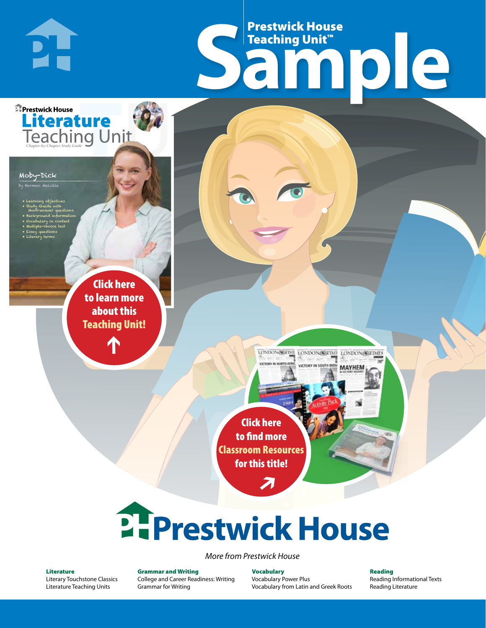# Frestwick House<br>
Sample **Prestwick House**<br>Teaching Unit™ Teaching Unit™

LONDON-SCITME LONDON/SCITME LONDON/SCITMES

MAYHEM

Moby-Dick by Herman Melville

**E** Prestwick House

**PH** 

• Learning objectives • Study Guide with short-answer questions • Background information • Vocabulary in context

• Multiple-choice test • Essay questions

CHARLES DICKENS

**A Tale of Two Cities**

**Literature** 

• Literary terms

r e o r d e r n o . x x x x x x Click here to learn more about this [Teaching Unit!](https://www.prestwickhouse.com/pdf/id-201458/Moby_Dick_-_Downloadable_Teaching_Unit)

 $\mathbf{T}$ 

1

Click here to find more [Classroom Resources](http://teaching-english.prestwickhouse.com/search#w=moby%20dick?)  for this title!

 $\overline{\boldsymbol{\lambda}}$ 

# 2. Prestwick House

*More from Prestwick House*

#### Literature

[Literary Touchstone Classics](https://www.prestwickhouse.com/literary-touchstone-classics) [Literature Teaching Units](https://www.prestwickhouse.com/teaching-units)

Grammar and Writing [College and Career Readiness: Writing](https://www.prestwickhouse.com/college-and-career-readiness-writing) [Grammar for Writing](https://www.prestwickhouse.com/book/id-302639/Grammar_for_Writing_-_30_Books_and_Teachers_Edition)

Vocabulary [Vocabulary Power Plus](https://www.prestwickhouse.com/vocabulary-power-plus-for-college-and-career-readiness) [Vocabulary from Latin and Greek Roots](https://www.prestwickhouse.com/vocabulary-from-latin-and-greek-roots) Reading

[Reading Informational Texts](https://www.prestwickhouse.com/reading-informational-texts) [Reading Literature](https://www.prestwickhouse.com/reading-literature)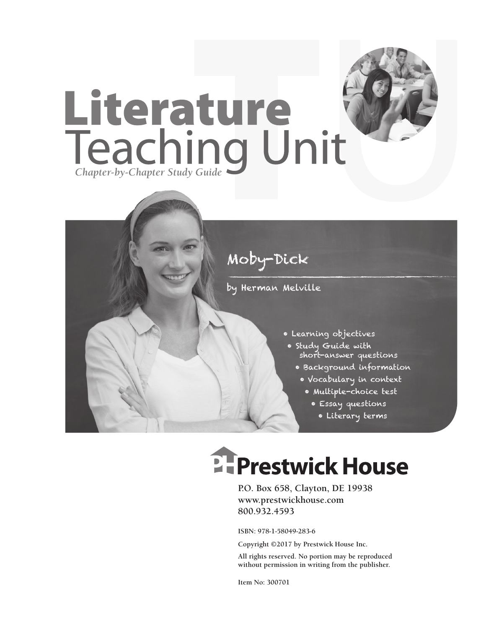

### Moby-Dick

by Herman Melville

- Learning objectives
- Study Guide with short-answer questions
	- Background information
		- Vocabulary in context
			- Multiple-choice test
				- Essay questions
					- Literary terms

## **EFPrestwick House**

**P.O. Box 658, Clayton, DE 19938 www.prestwickhouse.com 800.932.4593**

**ISBN: 978-1-58049-283-6**

**Copyright ©2017 by Prestwick House Inc.**

**All rights reserved. No portion may be reproduced without permission in writing from the publisher.** 

**Item No: 300701**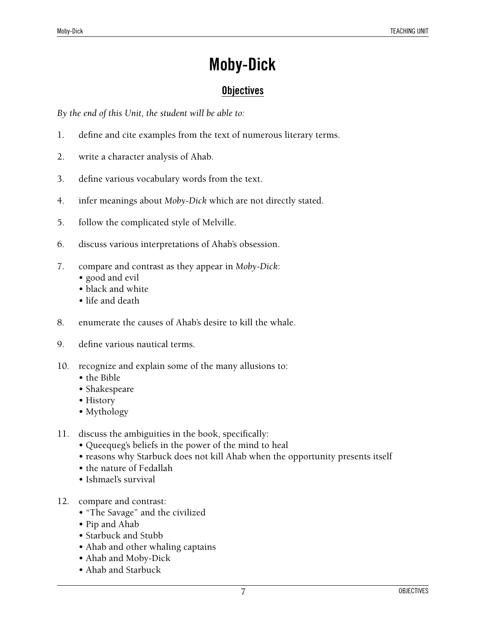### **Moby-Dick**

### **Objectives**

*By the end of this Unit, the student will be able to:*

- 1. define and cite examples from the text of numerous literary terms.
- 2. write a character analysis of Ahab.
- 3. define various vocabulary words from the text.
- 4. infer meanings about *Moby-Dick* which are not directly stated.
- 5. follow the complicated style of Melville.
- 6. discuss various interpretations of Ahab's obsession.
- 7. compare and contrast as they appear in *Moby-Dick*:
	- good and evil
	- black and white
	- life and death
- 8. enumerate the causes of Ahab's desire to kill the whale.
- 9. define various nautical terms.
- 10. recognize and explain some of the many allusions to:
	- the Bible
	- Shakespeare
	- History
	- Mythology
- 11. discuss the ambiguities in the book, specifically:
	- Queequeg's beliefs in the power of the mind to heal
	- reasons why Starbuck does not kill Ahab when the opportunity presents itself
	- the nature of Fedallah
	- Ishmael's survival
- 12. compare and contrast:
	- "The Savage" and the civilized
	- Pip and Ahab
	- Starbuck and Stubb
	- Ahab and other whaling captains
	- Ahab and Moby-Dick
	- Ahab and Starbuck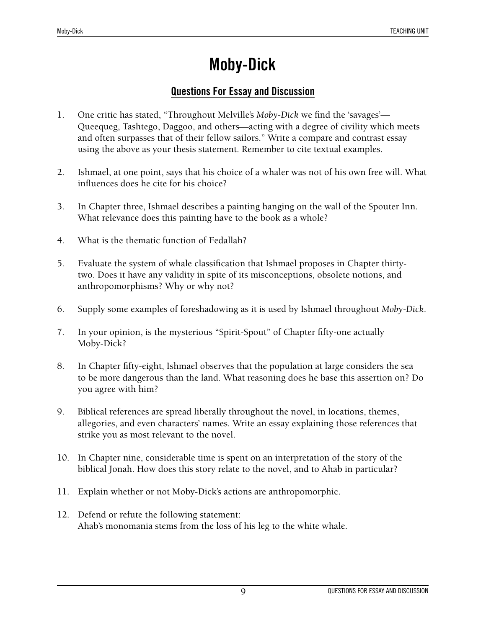### **Moby-Dick**

### **Questions For Essay and Discussion**

- 1. One critic has stated, "Throughout Melville's *Moby-Dick* we find the 'savages'— Queequeg, Tashtego, Daggoo, and others—acting with a degree of civility which meets and often surpasses that of their fellow sailors." Write a compare and contrast essay using the above as your thesis statement. Remember to cite textual examples.
- 2. Ishmael, at one point, says that his choice of a whaler was not of his own free will. What influences does he cite for his choice?
- 3. In Chapter three, Ishmael describes a painting hanging on the wall of the Spouter Inn. What relevance does this painting have to the book as a whole?
- 4. What is the thematic function of Fedallah?
- 5. Evaluate the system of whale classification that Ishmael proposes in Chapter thirtytwo. Does it have any validity in spite of its misconceptions, obsolete notions, and anthropomorphisms? Why or why not?
- 6. Supply some examples of foreshadowing as it is used by Ishmael throughout *Moby-Dick*.
- 7. In your opinion, is the mysterious "Spirit-Spout" of Chapter fifty-one actually Moby-Dick?
- 8. In Chapter fifty-eight, Ishmael observes that the population at large considers the sea to be more dangerous than the land. What reasoning does he base this assertion on? Do you agree with him?
- 9. Biblical references are spread liberally throughout the novel, in locations, themes, allegories, and even characters' names. Write an essay explaining those references that strike you as most relevant to the novel.
- 10. In Chapter nine, considerable time is spent on an interpretation of the story of the biblical Jonah. How does this story relate to the novel, and to Ahab in particular?
- 11. Explain whether or not Moby-Dick's actions are anthropomorphic.
- 12. Defend or refute the following statement: Ahab's monomania stems from the loss of his leg to the white whale.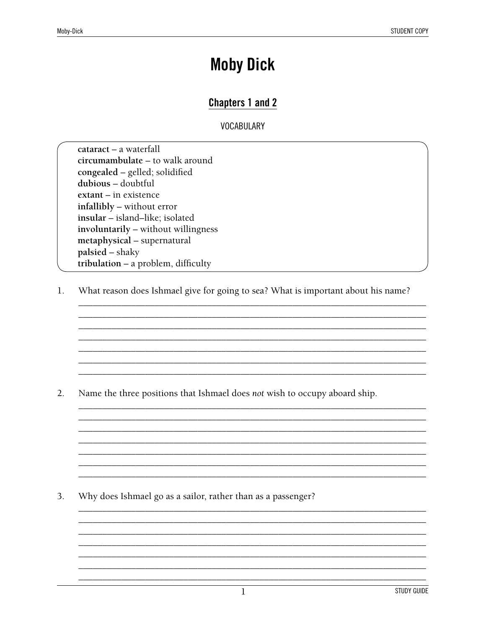### **Moby Dick**

### **Chapters 1 and 2**

**VOCABULARY** 

cataract - a waterfall circumambulate - to walk around congealed - gelled; solidified dubious - doubtful extant - in existence infallibly - without error insular - island-like; isolated involuntarily - without willingness metaphysical - supernatural palsied – shaky tribulation - a problem, difficulty

1. What reason does Ishmael give for going to sea? What is important about his name?

 $2.$ Name the three positions that Ishmael does not wish to occupy aboard ship.

3. Why does Ishmael go as a sailor, rather than as a passenger?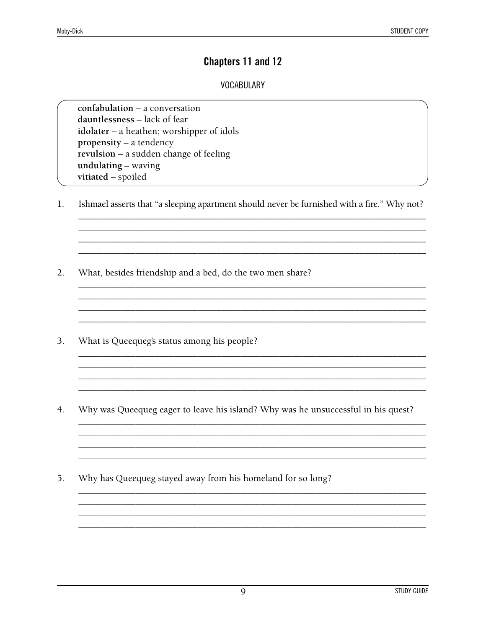### Chapters 11 and 12

#### **VOCABULARY**

confabulation - a conversation dauntlessness – lack of fear idolater – a heathen; worshipper of idols propensity – a tendency revulsion – a sudden change of feeling undulating - waving vitiated - spoiled

 $1.$ Ishmael asserts that "a sleeping apartment should never be furnished with a fire." Why not?

- $2.$ What, besides friendship and a bed, do the two men share?
- 3. What is Queequeg's status among his people?
- $4.$ Why was Queequeg eager to leave his island? Why was he unsuccessful in his quest?

Why has Queequeg stayed away from his homeland for so long? 5.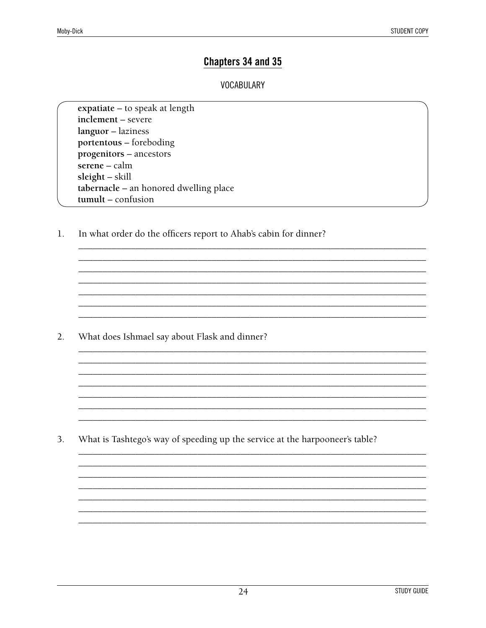### Chapters 34 and 35

#### **VOCABULARY**

expatiate - to speak at length inclement - severe languor - laziness portentous - foreboding progenitors - ancestors serene - calm  $s$ leight – skill tabernacle - an honored dwelling place tumult - confusion

In what order do the officers report to Ahab's cabin for dinner?  $1.$ 

 $2.$ What does Ishmael say about Flask and dinner?

3. What is Tashtego's way of speeding up the service at the harpooneer's table?